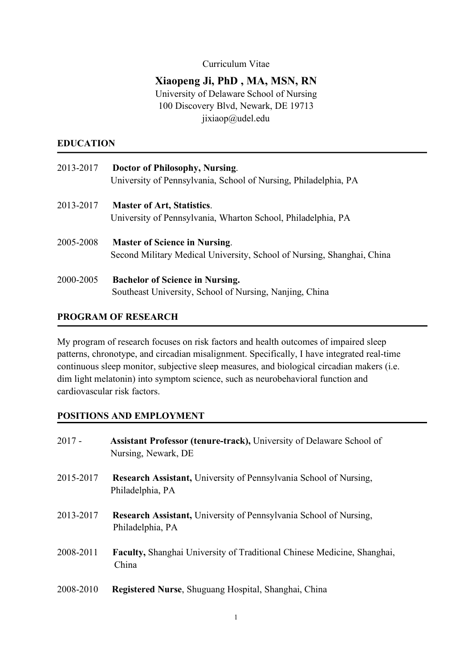#### Curriculum Vitae

# **Xiaopeng Ji, PhD , MA, MSN, RN**

University of Delaware School of Nursing 100 Discovery Blvd, Newark, DE 19713 jixiaop@udel.edu

#### **EDUCATION**

| 2013-2017 | Doctor of Philosophy, Nursing.<br>University of Pennsylvania, School of Nursing, Philadelphia, PA              |
|-----------|----------------------------------------------------------------------------------------------------------------|
| 2013-2017 | <b>Master of Art, Statistics.</b><br>University of Pennsylvania, Wharton School, Philadelphia, PA              |
| 2005-2008 | <b>Master of Science in Nursing.</b><br>Second Military Medical University, School of Nursing, Shanghai, China |
| 2000-2005 | <b>Bachelor of Science in Nursing.</b><br>Southeast University, School of Nursing, Nanjing, China              |

#### **PROGRAM OF RESEARCH**

My program of research focuses on risk factors and health outcomes of impaired sleep patterns, chronotype, and circadian misalignment. Specifically, I have integrated real-time continuous sleep monitor, subjective sleep measures, and biological circadian makers (i.e. dim light melatonin) into symptom science, such as neurobehavioral function and cardiovascular risk factors.

#### **POSITIONS AND EMPLOYMENT**

| $2017 -$  | Assistant Professor (tenure-track), University of Delaware School of<br>Nursing, Newark, DE  |
|-----------|----------------------------------------------------------------------------------------------|
| 2015-2017 | Research Assistant, University of Pennsylvania School of Nursing,<br>Philadelphia, PA        |
| 2013-2017 | <b>Research Assistant, University of Pennsylvania School of Nursing,</b><br>Philadelphia, PA |
| 2008-2011 | <b>Faculty, Shanghai University of Traditional Chinese Medicine, Shanghai,</b><br>China      |
| 2008-2010 | Registered Nurse, Shuguang Hospital, Shanghai, China                                         |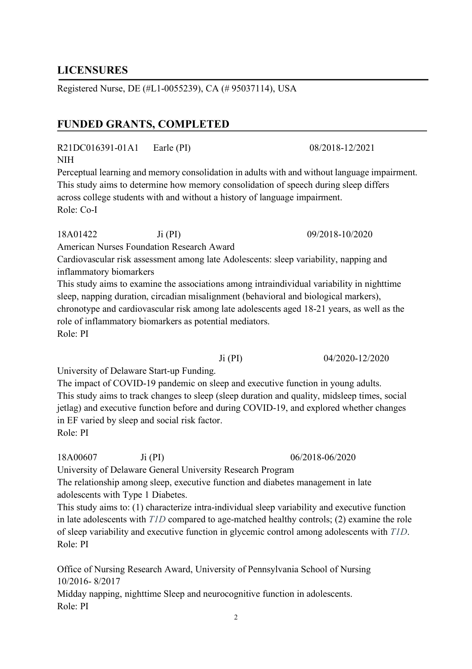# **LICENSURES**

Registered Nurse, DE (#L1-0055239), CA (# 95037114), USA

# **FUNDED GRANTS, COMPLETED**

R21DC016391-01A1 Earle (PI) 08/2018-12/2021 NIH

Perceptual learning and memory consolidation in adults with and without language impairment. This study aims to determine how memory consolidation of speech during sleep differs across college students with and without a history of language impairment. Role: Co-I

18A01422 Ji (PI) 09/2018-10/2020 American Nurses Foundation Research Award

Cardiovascular risk assessment among late Adolescents: sleep variability, napping and inflammatory biomarkers

This study aims to examine the associations among intraindividual variability in nighttime sleep, napping duration, circadian misalignment (behavioral and biological markers), chronotype and cardiovascular risk among late adolescents aged 18-21 years, as well as the role of inflammatory biomarkers as potential mediators. Role: PI

University of Delaware Start-up Funding.

The impact of COVID-19 pandemic on sleep and executive function in young adults. This study aims to track changes to sleep (sleep duration and quality, midsleep times, social jetlag) and executive function before and during COVID-19, and explored whether changes in EF varied by sleep and social risk factor. Role: PI

18A00607 Ji (PI) 06/2018-06/2020

University of Delaware General University Research Program

The relationship among sleep, executive function and diabetes management in late adolescents with Type 1 Diabetes.

This study aims to: (1) characterize intra-individual sleep variability and executive function in late adolescents with *T1D* compared to age-matched healthy controls; (2) examine the role of sleep variability and executive function in glycemic control among adolescents with *T1D*. Role: PI

Office of Nursing Research Award, University of Pennsylvania School of Nursing 10/2016- 8/2017

Midday napping, nighttime Sleep and neurocognitive function in adolescents. Role: PI

Ji (PI) 04/2020-12/2020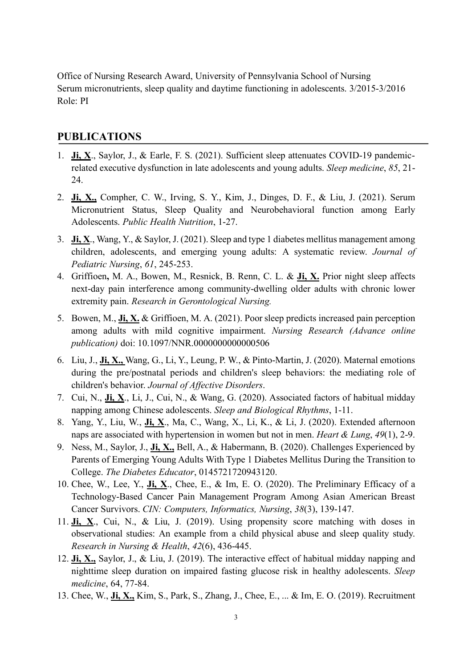Office of Nursing Research Award, University of Pennsylvania School of Nursing Serum micronutrients, sleep quality and daytime functioning in adolescents. 3/2015-3/2016 Role: PI

## **PUBLICATIONS**

- 1. **Ji, X**., Saylor, J., & Earle, F. S. (2021). Sufficient sleep attenuates COVID-19 pandemicrelated executive dysfunction in late adolescents and young adults. *Sleep medicine*, *85*, 21- 24.
- 2. **Ji, X.,** Compher, C. W., Irving, S. Y., Kim, J., Dinges, D. F., & Liu, J. (2021). Serum Micronutrient Status, Sleep Quality and Neurobehavioral function among Early Adolescents. *Public Health Nutrition*, 1-27.
- 3. **Ji, X**., Wang, Y., & Saylor, J. (2021). Sleep and type 1 diabetes mellitus management among children, adolescents, and emerging young adults: A systematic review. *Journal of Pediatric Nursing*, *61*, 245-253.
- 4. Griffioen**,** M. A., Bowen, M., Resnick, B. Renn, C. L. & **Ji, X.** Prior night sleep affects next-day pain interference among community-dwelling older adults with chronic lower extremity pain. *Research in Gerontological Nursing.*
- 5. Bowen, M., **Ji, X.** & Griffioen, M. A. (2021). Poor sleep predicts increased pain perception among adults with mild cognitive impairment. *Nursing Research (Advance online publication)* doi: 10.1097/NNR.0000000000000506
- 6. Liu, J., **Ji, X.,** Wang, G., Li, Y., Leung, P. W., & Pinto-Martin, J. (2020). Maternal emotions during the pre/postnatal periods and children's sleep behaviors: the mediating role of children's behavior. *Journal of Affective Disorders*.
- 7. Cui, N., **Ji, X**., Li, J., Cui, N., & Wang, G. (2020). Associated factors of habitual midday napping among Chinese adolescents. *Sleep and Biological Rhythms*, 1-11.
- 8. Yang, Y., Liu, W., **Ji, X**., Ma, C., Wang, X., Li, K., & Li, J. (2020). Extended afternoon naps are associated with hypertension in women but not in men. *Heart & Lung*, *49*(1), 2-9.
- 9. Ness, M., Saylor, J., **Ji, X.,** Bell, A., & Habermann, B. (2020). Challenges Experienced by Parents of Emerging Young Adults With Type 1 Diabetes Mellitus During the Transition to College. *The Diabetes Educator*, 0145721720943120.
- 10. Chee, W., Lee, Y., **Ji, X**., Chee, E., & Im, E. O. (2020). The Preliminary Efficacy of a Technology-Based Cancer Pain Management Program Among Asian American Breast Cancer Survivors. *CIN: Computers, Informatics, Nursing*, *38*(3), 139-147.
- 11. **Ji, X**., Cui, N., & Liu, J. (2019). Using propensity score matching with doses in observational studies: An example from a child physical abuse and sleep quality study. *Research in Nursing & Health*, *42*(6), 436-445.
- 12. **Ji, X.,** Saylor, J., & Liu, J. (2019). The interactive effect of habitual midday napping and nighttime sleep duration on impaired fasting glucose risk in healthy adolescents. *Sleep medicine*, 64, 77-84.
- 13. Chee, W., **Ji, X.,** Kim, S., Park, S., Zhang, J., Chee, E., ... & Im, E. O. (2019). Recruitment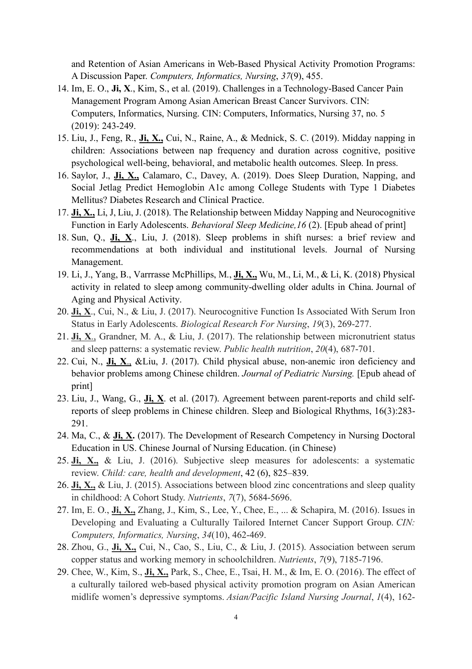and Retention of Asian Americans in Web-Based Physical Activity Promotion Programs: A Discussion Paper. *Computers, Informatics, Nursing*, *37*(9), 455.

- 14. Im, E. O., **Ji, X**., Kim, S., et al. (2019). Challenges in a Technology-Based Cancer Pain Management Program Among Asian American Breast Cancer Survivors. CIN: Computers, Informatics, Nursing. CIN: Computers, Informatics, Nursing 37, no. 5 (2019): 243-249.
- 15. Liu, J., Feng, R., **Ji, X.,** Cui, N., Raine, A., & Mednick, S. C. (2019). Midday napping in children: Associations between nap frequency and duration across cognitive, positive psychological well-being, behavioral, and metabolic health outcomes. Sleep. In press.
- 16. Saylor, J., **Ji, X.,** Calamaro, C., Davey, A. (2019). Does Sleep Duration, Napping, and Social Jetlag Predict Hemoglobin A1c among College Students with Type 1 Diabetes Mellitus? Diabetes Research and Clinical Practice.
- 17. **Ji, X.,** Li, J, Liu, J. (2018). The Relationship between Midday Napping and Neurocognitive Function in Early Adolescents. *Behavioral Sleep Medicine,16* (2). [Epub ahead of print]
- 18. Sun, Q., **Ji, X**., Liu, J. (2018). Sleep problems in shift nurses: a brief review and recommendations at both individual and institutional levels. Journal of Nursing Management.
- 19. Li, J., Yang, B., Varrrasse McPhillips, M., **Ji, X.,** Wu, M., Li, M., & Li, K. (2018) Physical activity in related to sleep among community-dwelling older adults in China. Journal of Aging and Physical Activity.
- 20. **Ji, X**., Cui, N., & Liu, J. (2017). Neurocognitive Function Is Associated With Serum Iron Status in Early Adolescents. *Biological Research For Nursing*, *19*(3), 269-277.
- 21. **Ji, X**., Grandner, M. A., & Liu, J. (2017). The relationship between micronutrient status and sleep patterns: a systematic review. *Public health nutrition*, *20*(4), 687-701.
- 22. Cui, N., **Ji, X**., &Liu, J. (2017). Child physical abuse, non-anemic iron deficiency and behavior problems among Chinese children. *Journal of Pediatric Nursing.* [Epub ahead of print]
- 23. Liu, J., Wang, G., **Ji, X**. et al. (2017). Agreement between parent-reports and child selfreports of sleep problems in Chinese children. Sleep and Biological Rhythms, 16(3):283- 291.
- 24. Ma, C., & **Ji, X.** (2017). The Development of Research Competency in Nursing Doctoral Education in US. Chinese Journal of Nursing Education. (in Chinese)
- 25. **Ji, X.,** & Liu, J. (2016). Subjective sleep measures for adolescents: a systematic review. *Child: care, health and development*, 42 (6), 825–839.
- 26. **Ji, X.,** & Liu, J. (2015). Associations between blood zinc concentrations and sleep quality in childhood: A Cohort Study. *Nutrients*, *7*(7), 5684-5696.
- 27. Im, E. O., **Ji, X.,** Zhang, J., Kim, S., Lee, Y., Chee, E., ... & Schapira, M. (2016). Issues in Developing and Evaluating a Culturally Tailored Internet Cancer Support Group. *CIN: Computers, Informatics, Nursing*, *34*(10), 462-469.
- 28. Zhou, G., **Ji, X.,** Cui, N., Cao, S., Liu, C., & Liu, J. (2015). Association between serum copper status and working memory in schoolchildren. *Nutrients*, *7*(9), 7185-7196.
- 29. Chee, W., Kim, S., **Ji, X.,** Park, S., Chee, E., Tsai, H. M., & Im, E. O. (2016). The effect of a culturally tailored web-based physical activity promotion program on Asian American midlife women's depressive symptoms. *Asian/Pacific Island Nursing Journal*, *1*(4), 162-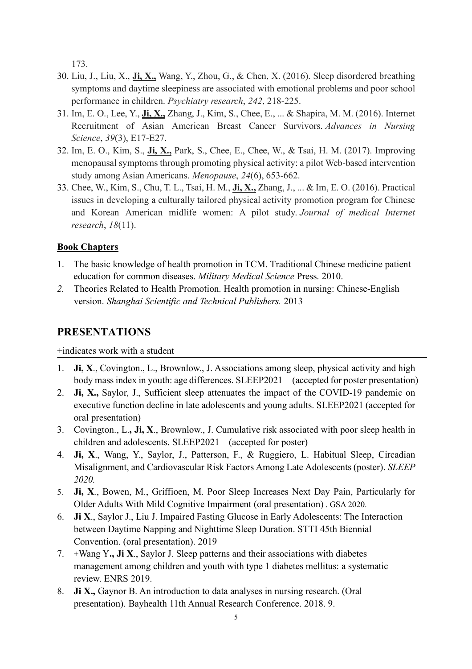173.

- 30. Liu, J., Liu, X., **Ji, X.,** Wang, Y., Zhou, G., & Chen, X. (2016). Sleep disordered breathing symptoms and daytime sleepiness are associated with emotional problems and poor school performance in children. *Psychiatry research*, *242*, 218-225.
- 31. Im, E. O., Lee, Y., **Ji, X.,** Zhang, J., Kim, S., Chee, E., ... & Shapira, M. M. (2016). Internet Recruitment of Asian American Breast Cancer Survivors. *Advances in Nursing Science*, *39*(3), E17-E27.
- 32. Im, E. O., Kim, S., **Ji, X.,** Park, S., Chee, E., Chee, W., & Tsai, H. M. (2017). Improving menopausal symptoms through promoting physical activity: a pilot Web-based intervention study among Asian Americans. *Menopause*, *24*(6), 653-662.
- 33. Chee, W., Kim, S., Chu, T. L., Tsai, H. M., **Ji, X.,** Zhang, J., ... & Im, E. O. (2016). Practical issues in developing a culturally tailored physical activity promotion program for Chinese and Korean American midlife women: A pilot study. *Journal of medical Internet research*, *18*(11).

# **Book Chapters**

- 1. The basic knowledge of health promotion in TCM. Traditional Chinese medicine patient education for common diseases. *Military Medical Science* Press. 2010.
- *2.* Theories Related to Health Promotion. Health promotion in nursing: Chinese-English version. *Shanghai Scientific and Technical Publishers.* 2013

# **PRESENTATIONS**

+indicates work with a student

- 1. **Ji, X**., Covington., L., Brownlow., J. Associations among sleep, physical activity and high body mass index in youth: age differences. SLEEP2021 (accepted for poster presentation)
- 2. **Ji, X.,** Saylor, J., Sufficient sleep attenuates the impact of the COVID-19 pandemic on executive function decline in late adolescents and young adults. SLEEP2021 (accepted for oral presentation)
- 3. Covington., L.**, Ji, X**., Brownlow., J. Cumulative risk associated with poor sleep health in children and adolescents. SLEEP2021 (accepted for poster)
- 4. **Ji, X**., Wang, Y., Saylor, J., Patterson, F., & Ruggiero, L. Habitual Sleep, Circadian Misalignment, and Cardiovascular Risk Factors Among Late Adolescents (poster). *SLEEP 2020.*
- 5. **Ji, X**., Bowen, M., Griffioen, M. Poor Sleep Increases Next Day Pain, Particularly for Older Adults With Mild Cognitive Impairment (oral presentation) . GSA 2020.
- 6. **Ji X**., Saylor J., Liu J. Impaired Fasting Glucose in Early Adolescents: The Interaction between Daytime Napping and Nighttime Sleep Duration. STTI 45th Biennial Convention. (oral presentation). 2019
- 7. +Wang Y**., Ji X**., Saylor J. Sleep patterns and their associations with diabetes management among children and youth with type 1 diabetes mellitus: a systematic review. ENRS 2019.
- 8. **Ji X.,** Gaynor B. An introduction to data analyses in nursing research. (Oral presentation). Bayhealth 11th Annual Research Conference. 2018. 9.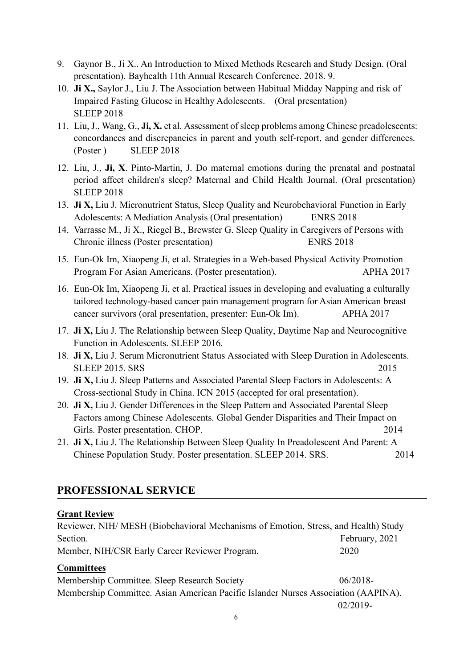- 9. Gaynor B., Ji X.. An Introduction to Mixed Methods Research and Study Design. (Oral presentation). Bayhealth 11th Annual Research Conference. 2018. 9.
- 10. **Ji X.,** Saylor J., Liu J. The Association between Habitual Midday Napping and risk of Impaired Fasting Glucose in Healthy Adolescents. (Oral presentation) SLEEP 2018
- 11. Liu, J., Wang, G., **Ji, X.** et al. Assessment of sleep problems among Chinese preadolescents: concordances and discrepancies in parent and youth self-report, and gender differences. (Poster ) SLEEP 2018
- 12. Liu, J., **Ji, X**. Pinto-Martin, J. Do maternal emotions during the prenatal and postnatal period affect children's sleep? Maternal and Child Health Journal. (Oral presentation) SLEEP 2018
- 13. **Ji X,** Liu J. Micronutrient Status, Sleep Quality and Neurobehavioral Function in Early Adolescents: A Mediation Analysis (Oral presentation) ENRS 2018
- 14. Varrasse M., Ji X., Riegel B., Brewster G. Sleep Quality in Caregivers of Persons with Chronic illness (Poster presentation) ENRS 2018
- 15. Eun-Ok Im, Xiaopeng Ji, et al. Strategies in a Web-based Physical Activity Promotion Program For Asian Americans. (Poster presentation). APHA 2017
- 16. Eun-Ok Im, Xiaopeng Ji, et al. Practical issues in developing and evaluating a culturally tailored technology-based cancer pain management program for Asian American breast cancer survivors (oral presentation, presenter: Eun-Ok Im). APHA 2017
- 17. **Ji X,** Liu J. The Relationship between Sleep Quality, Daytime Nap and Neurocognitive Function in Adolescents. SLEEP 2016.
- 18. **Ji X,** Liu J. Serum Micronutrient Status Associated with Sleep Duration in Adolescents. SLEEP 2015. SRS 2015
- 19. **Ji X,** Liu J. Sleep Patterns and Associated Parental Sleep Factors in Adolescents: A Cross-sectional Study in China. ICN 2015 (accepted for oral presentation).
- 20. **Ji X,** Liu J. Gender Differences in the Sleep Pattern and Associated Parental Sleep Factors among Chinese Adolescents. Global Gender Disparities and Their Impact on Girls. Poster presentation. CHOP. 2014
- 21. **Ji X,** Liu J. The Relationship Between Sleep Quality In Preadolescent And Parent: A Chinese Population Study. Poster presentation. SLEEP 2014. SRS. 2014

# **PROFESSIONAL SERVICE**

# **Grant Review**

| Reviewer, NIH/ MESH (Biobehavioral Mechanisms of Emotion, Stress, and Health) Study |                |
|-------------------------------------------------------------------------------------|----------------|
| Section.                                                                            | February, 2021 |
| Member, NIH/CSR Early Career Reviewer Program.                                      | 2020           |
| <b>Committees</b>                                                                   |                |
| Membership Committee. Sleep Research Society                                        | $06/2018-$     |
| Membership Committee. Asian American Pacific Islander Nurses Association (AAPINA).  |                |
|                                                                                     | $02/2019$ -    |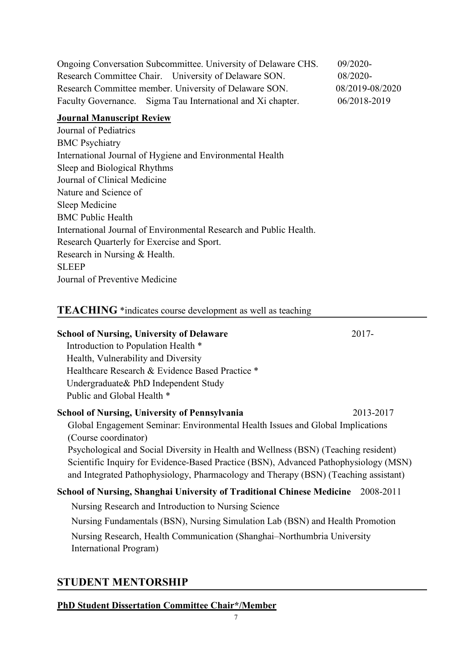| Ongoing Conversation Subcommittee. University of Delaware CHS. | $09/2020$ -     |
|----------------------------------------------------------------|-----------------|
| Research Committee Chair. University of Delaware SON.          | $08/2020$ -     |
| Research Committee member. University of Delaware SON.         | 08/2019-08/2020 |
| Faculty Governance. Sigma Tau International and Xi chapter.    | 06/2018-2019    |

### **Journal Manuscript Review**

Journal of Pediatrics BMC Psychiatry International Journal of Hygiene and Environmental Health Sleep and Biological Rhythms Journal of Clinical Medicine Nature and Science of Sleep Medicine BMC Public Health International Journal of Environmental Research and Public Health. Research Quarterly for Exercise and Sport. Research in Nursing & Health. SLEEP Journal of Preventive Medicine

### **TEACHING** \*indicates course development as well as teaching

#### **School of Nursing, University of Delaware** 2017-

 Introduction to Population Health \* Health, Vulnerability and Diversity Healthcare Research & Evidence Based Practice \* Undergraduate& PhD Independent Study Public and Global Health \*

## **School of Nursing, University of Pennsylvania** 2013-2017 Global Engagement Seminar: Environmental Health Issues and Global Implications (Course coordinator)

Psychological and Social Diversity in Health and Wellness (BSN) (Teaching resident) Scientific Inquiry for Evidence-Based Practice (BSN), Advanced Pathophysiology (MSN) and Integrated Pathophysiology, Pharmacology and Therapy (BSN) (Teaching assistant)

### **School of Nursing, Shanghai University of Traditional Chinese Medicine** 2008-2011

Nursing Research and Introduction to Nursing Science

Nursing Fundamentals (BSN), Nursing Simulation Lab (BSN) and Health Promotion Nursing Research, Health Communication (Shanghai–Northumbria University International Program)

# **STUDENT MENTORSHIP**

### **PhD Student Dissertation Committee Chair\*/Member**